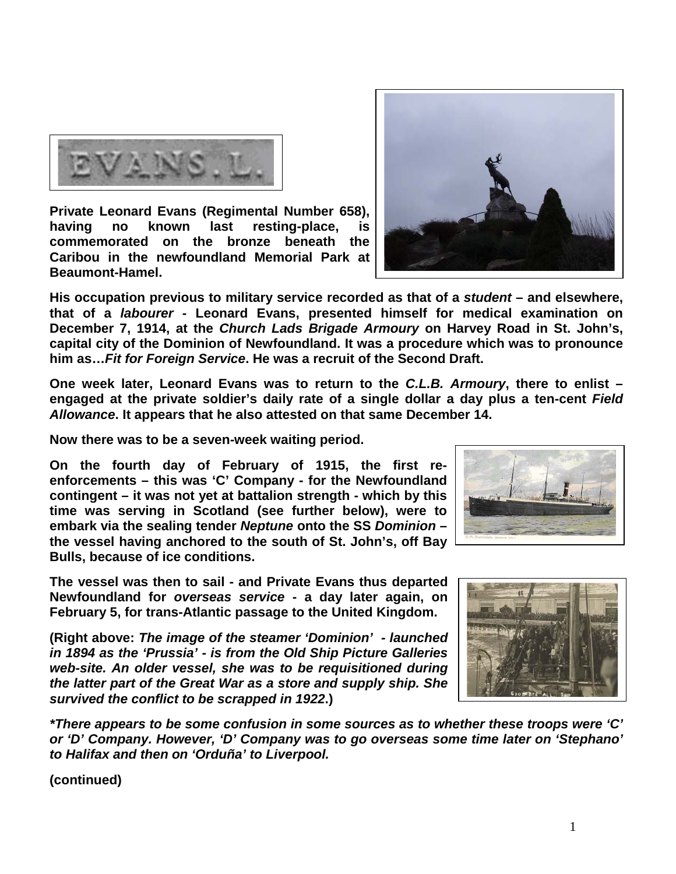

**Private Leonard Evans (Regimental Number 658), having no known last resting-place, is commemorated on the bronze beneath the Caribou in the newfoundland Memorial Park at Beaumont-Hamel.** 



**One week later, Leonard Evans was to return to the** *C.L.B. Armoury***, there to enlist – engaged at the private soldier's daily rate of a single dollar a day plus a ten-cent** *Field Allowance***. It appears that he also attested on that same December 14.** 

**Now there was to be a seven-week waiting period.** 

**On the fourth day of February of 1915, the first reenforcements – this was 'C' Company - for the Newfoundland contingent – it was not yet at battalion strength - which by this time was serving in Scotland (see further below), were to embark via the sealing tender** *Neptune* **onto the SS** *Dominion* **– the vessel having anchored to the south of St. John's, off Bay Bulls, because of ice conditions.** 

**The vessel was then to sail - and Private Evans thus departed Newfoundland for** *overseas service* **- a day later again, on February 5, for trans-Atlantic passage to the United Kingdom.**

**(Right above:** *The image of the steamer 'Dominion' - launched in 1894 as the 'Prussia' - is from the Old Ship Picture Galleries web-site. An older vessel, she was to be requisitioned during the latter part of the Great War as a store and supply ship. She survived the conflict to be scrapped in 1922***.)**

*\*There appears to be some confusion in some sources as to whether these troops were 'C' or 'D' Company. However, 'D' Company was to go overseas some time later on 'Stephano' to Halifax and then on 'Orduña' to Liverpool.*







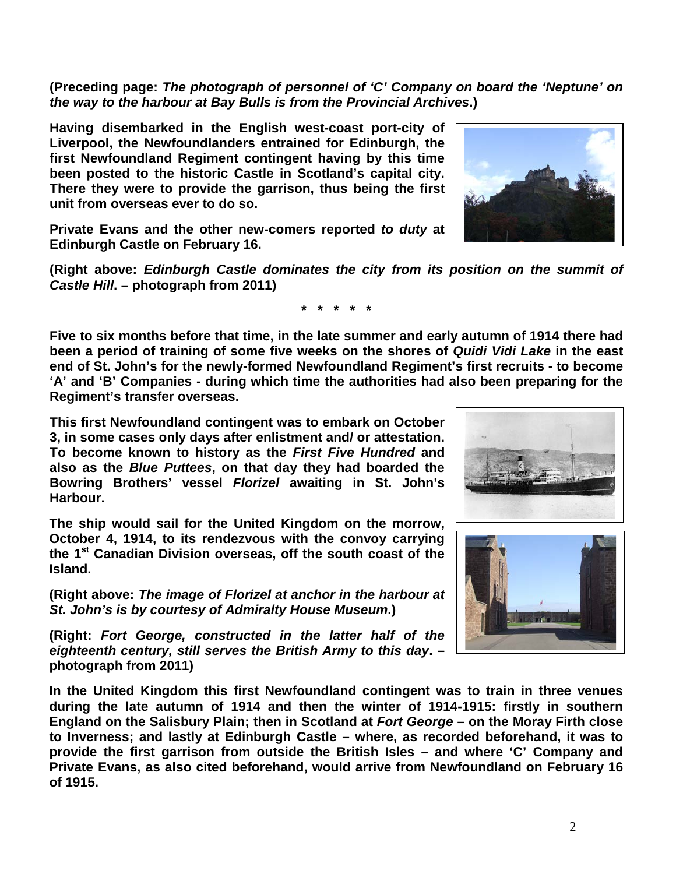2

**(Preceding page:** *The photograph of personnel of 'C' Company on board the 'Neptune' on the way to the harbour at Bay Bulls is from the Provincial Archives***.)**

**Having disembarked in the English west-coast port-city of Liverpool, the Newfoundlanders entrained for Edinburgh, the first Newfoundland Regiment contingent having by this time been posted to the historic Castle in Scotland's capital city. There they were to provide the garrison, thus being the first unit from overseas ever to do so.** 

**Private Evans and the other new-comers reported** *to duty* **at Edinburgh Castle on February 16.** 

**(Right above:** *Edinburgh Castle dominates the city from its position on the summit of Castle Hill***. – photograph from 2011)**

**\* \* \* \* \***

**Five to six months before that time, in the late summer and early autumn of 1914 there had been a period of training of some five weeks on the shores of** *Quidi Vidi Lake* **in the east end of St. John's for the newly-formed Newfoundland Regiment's first recruits - to become 'A' and 'B' Companies - during which time the authorities had also been preparing for the Regiment's transfer overseas.**

**This first Newfoundland contingent was to embark on October 3, in some cases only days after enlistment and/ or attestation. To become known to history as the** *First Five Hundred* **and also as the** *Blue Puttees***, on that day they had boarded the Bowring Brothers' vessel** *Florizel* **awaiting in St. John's Harbour.**

**The ship would sail for the United Kingdom on the morrow, October 4, 1914, to its rendezvous with the convoy carrying the 1st Canadian Division overseas, off the south coast of the Island.** 

**(Right above:** *The image of Florizel at anchor in the harbour at St. John's is by courtesy of Admiralty House Museum***.)**

**(Right:** *Fort George, constructed in the latter half of the eighteenth century, still serves the British Army to this day***. – photograph from 2011)**

**In the United Kingdom this first Newfoundland contingent was to train in three venues during the late autumn of 1914 and then the winter of 1914-1915: firstly in southern England on the Salisbury Plain; then in Scotland at** *Fort George* **– on the Moray Firth close to Inverness; and lastly at Edinburgh Castle – where, as recorded beforehand, it was to provide the first garrison from outside the British Isles – and where 'C' Company and Private Evans, as also cited beforehand, would arrive from Newfoundland on February 16 of 1915.**





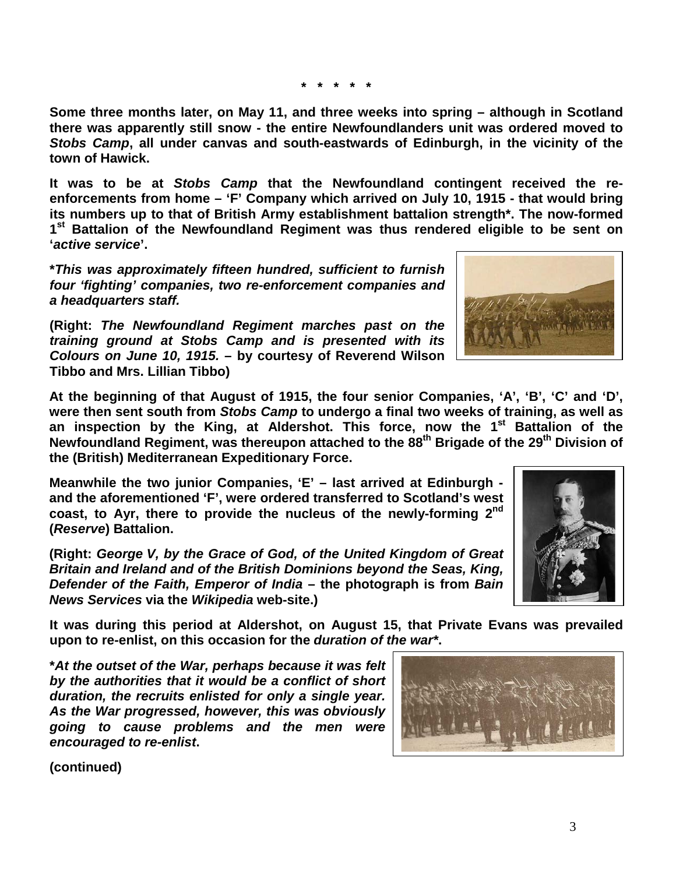**\* \* \* \* \***

**Some three months later, on May 11, and three weeks into spring – although in Scotland there was apparently still snow - the entire Newfoundlanders unit was ordered moved to**  *Stobs Camp***, all under canvas and south-eastwards of Edinburgh, in the vicinity of the town of Hawick.**

**It was to be at** *Stobs Camp* **that the Newfoundland contingent received the reenforcements from home – 'F' Company which arrived on July 10, 1915 - that would bring its numbers up to that of British Army establishment battalion strength\*. The now-formed 1st Battalion of the Newfoundland Regiment was thus rendered eligible to be sent on '***active service***'.**

**\****This was approximately fifteen hundred, sufficient to furnish four 'fighting' companies, two re-enforcement companies and a headquarters staff.*

**(Right:** *The Newfoundland Regiment marches past on the training ground at Stobs Camp and is presented with its Colours on June 10, 1915.* **– by courtesy of Reverend Wilson Tibbo and Mrs. Lillian Tibbo)**

**At the beginning of that August of 1915, the four senior Companies, 'A', 'B', 'C' and 'D', were then sent south from** *Stobs Camp* **to undergo a final two weeks of training, as well as an inspection by the King, at Aldershot. This force, now the 1st Battalion of the Newfoundland Regiment, was thereupon attached to the 88th Brigade of the 29th Division of the (British) Mediterranean Expeditionary Force.**

**Meanwhile the two junior Companies, 'E' – last arrived at Edinburgh and the aforementioned 'F', were ordered transferred to Scotland's west coast, to Ayr, there to provide the nucleus of the newly-forming 2nd (***Reserve***) Battalion.**

**(Right:** *George V, by the Grace of God, of the United Kingdom of Great Britain and Ireland and of the British Dominions beyond the Seas, King, Defender of the Faith, Emperor of India* **– the photograph is from** *Bain News Services* **via the** *Wikipedia* **web-site.)**

**It was during this period at Aldershot, on August 15, that Private Evans was prevailed upon to re-enlist, on this occasion for the** *duration of the war\****.**

**\****At the outset of the War, perhaps because it was felt by the authorities that it would be a conflict of short duration, the recruits enlisted for only a single year. As the War progressed, however, this was obviously going to cause problems and the men were encouraged to re-enlist***.**





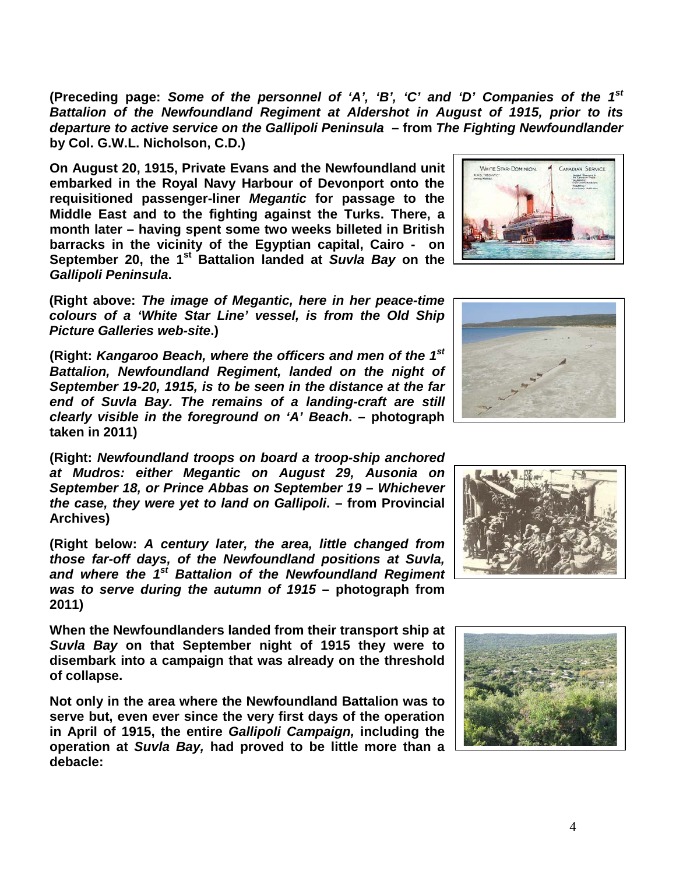**(Preceding page:** *Some of the personnel of 'A', 'B', 'C' and 'D' Companies of the 1st Battalion of the Newfoundland Regiment at Aldershot in August of 1915, prior to its departure to active service on the Gallipoli Peninsula* **– from** *The Fighting Newfoundlander*  **by Col. G.W.L. Nicholson, C.D.)**

**On August 20, 1915, Private Evans and the Newfoundland unit embarked in the Royal Navy Harbour of Devonport onto the requisitioned passenger-liner** *Megantic* **for passage to the Middle East and to the fighting against the Turks. There, a month later – having spent some two weeks billeted in British barracks in the vicinity of the Egyptian capital, Cairo - on September 20, the 1st Battalion landed at** *Suvla Bay* **on the**  *Gallipoli Peninsula***.**

**(Right above:** *The image of Megantic, here in her peace-time colours of a 'White Star Line' vessel, is from the Old Ship Picture Galleries web-site***.)**

**(Right:** *Kangaroo Beach, where the officers and men of the 1st Battalion, Newfoundland Regiment, landed on the night of September 19-20, 1915, is to be seen in the distance at the far end of Suvla Bay. The remains of a landing-craft are still clearly visible in the foreground on 'A' Beach***. – photograph taken in 2011)**

**(Right:** *Newfoundland troops on board a troop-ship anchored at Mudros: either Megantic on August 29, Ausonia on September 18, or Prince Abbas on September 19 – Whichever the case, they were yet to land on Gallipoli***. – from Provincial Archives)**

**(Right below:** *A century later, the area, little changed from those far-off days, of the Newfoundland positions at Suvla, and where the 1st Battalion of the Newfoundland Regiment was to serve during the autumn of 1915* **– photograph from 2011)**

**When the Newfoundlanders landed from their transport ship at**  *Suvla Bay* **on that September night of 1915 they were to disembark into a campaign that was already on the threshold of collapse.**

**Not only in the area where the Newfoundland Battalion was to serve but, even ever since the very first days of the operation in April of 1915, the entire** *Gallipoli Campaign,* **including the operation at** *Suvla Bay,* **had proved to be little more than a debacle:** 







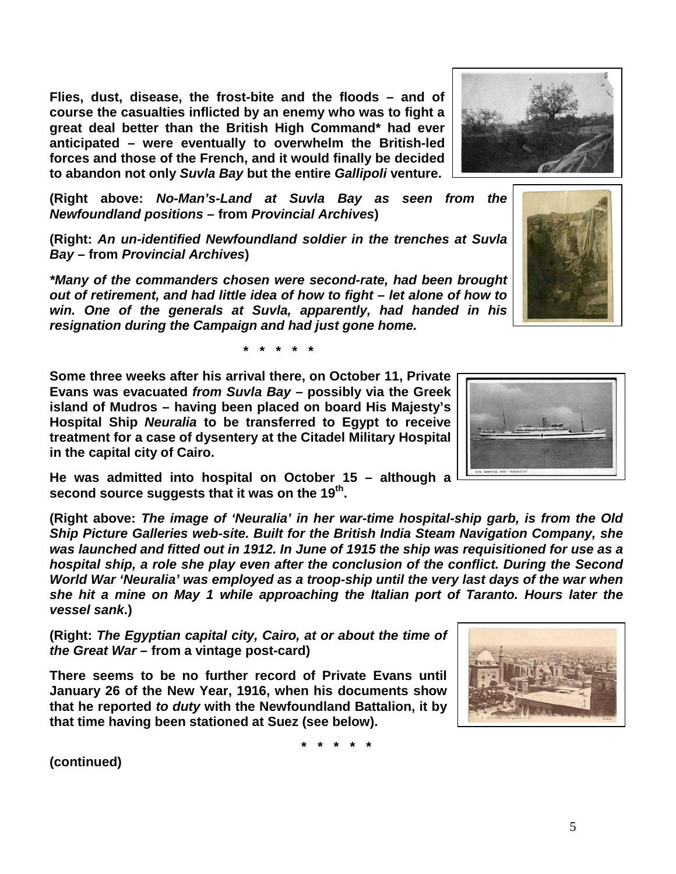**Flies, dust, disease, the frost-bite and the floods – and of course the casualties inflicted by an enemy who was to fight a great deal better than the British High Command\* had ever anticipated – were eventually to overwhelm the British-led forces and those of the French, and it would finally be decided to abandon not only** *Suvla Bay* **but the entire** *Gallipoli* **venture.**

**(Right above:** *No-Man's-Land at Suvla Bay as seen from the Newfoundland positions* **– from** *Provincial Archives***)**

**(Right:** *An un-identified Newfoundland soldier in the trenches at Suvla Bay –* **from** *Provincial Archives***)**

*\*Many of the commanders chosen were second-rate, had been brought out of retirement, and had little idea of how to fight – let alone of how to win. One of the generals at Suvla, apparently, had handed in his resignation during the Campaign and had just gone home.*

**\* \* \* \* \***

**Some three weeks after his arrival there, on October 11, Private Evans was evacuated** *from Suvla Bay* **– possibly via the Greek island of Mudros – having been placed on board His Majesty's Hospital Ship** *Neuralia* **to be transferred to Egypt to receive treatment for a case of dysentery at the Citadel Military Hospital in the capital city of Cairo.**

**He was admitted into hospital on October 15 – although a second source suggests that it was on the 19th.**

**(Right above:** *The image of 'Neuralia' in her war-time hospital-ship garb, is from the Old Ship Picture Galleries web-site. Built for the British India Steam Navigation Company, she was launched and fitted out in 1912. In June of 1915 the ship was requisitioned for use as a hospital ship, a role she play even after the conclusion of the conflict. During the Second World War 'Neuralia' was employed as a troop-ship until the very last days of the war when she hit a mine on May 1 while approaching the Italian port of Taranto. Hours later the vessel sank***.)**

**(Right:** *The Egyptian capital city, Cairo, at or about the time of the Great War* **– from a vintage post-card)**

**There seems to be no further record of Private Evans until January 26 of the New Year, 1916, when his documents show that he reported** *to duty* **with the Newfoundland Battalion, it by that time having been stationed at Suez (see below).**

**\* \* \* \* \***





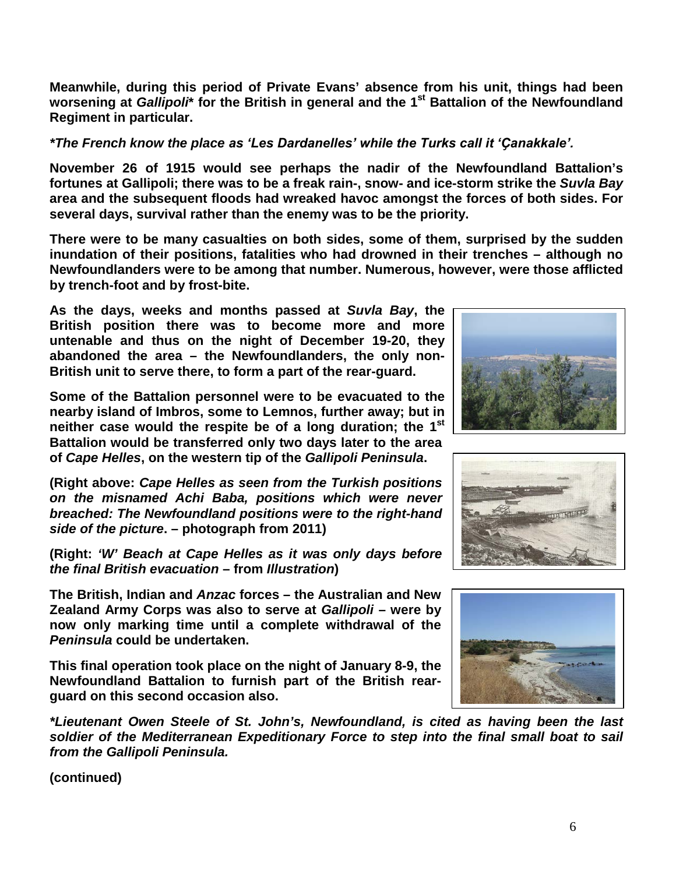**Meanwhile, during this period of Private Evans' absence from his unit, things had been worsening at** *Gallipoli***\* for the British in general and the 1st Battalion of the Newfoundland Regiment in particular.**

*\*The French know the place as 'Les Dardanelles' while the Turks call it 'Ҫanakkale'.*

**November 26 of 1915 would see perhaps the nadir of the Newfoundland Battalion's fortunes at Gallipoli; there was to be a freak rain-, snow- and ice-storm strike the** *Suvla Bay* **area and the subsequent floods had wreaked havoc amongst the forces of both sides. For several days, survival rather than the enemy was to be the priority.**

**There were to be many casualties on both sides, some of them, surprised by the sudden inundation of their positions, fatalities who had drowned in their trenches – although no Newfoundlanders were to be among that number. Numerous, however, were those afflicted by trench-foot and by frost-bite.**

**As the days, weeks and months passed at** *Suvla Bay***, the British position there was to become more and more untenable and thus on the night of December 19-20, they abandoned the area – the Newfoundlanders, the only non-British unit to serve there, to form a part of the rear-guard.** 

**Some of the Battalion personnel were to be evacuated to the nearby island of Imbros, some to Lemnos, further away; but in neither case would the respite be of a long duration; the 1st Battalion would be transferred only two days later to the area of** *Cape Helles***, on the western tip of the** *Gallipoli Peninsula***.**

**(Right above:** *Cape Helles as seen from the Turkish positions on the misnamed Achi Baba, positions which were never breached: The Newfoundland positions were to the right-hand side of the picture***. – photograph from 2011)**

**(Right:** *'W' Beach at Cape Helles as it was only days before the final British evacuation* **– from** *Illustration***)**

**The British, Indian and** *Anzac* **forces – the Australian and New Zealand Army Corps was also to serve at** *Gallipoli* **– were by now only marking time until a complete withdrawal of the**  *Peninsula* **could be undertaken.** 

**This final operation took place on the night of January 8-9, the Newfoundland Battalion to furnish part of the British rearguard on this second occasion also.**

*\*Lieutenant Owen Steele of St. John's, Newfoundland, is cited as having been the last soldier of the Mediterranean Expeditionary Force to step into the final small boat to sail from the Gallipoli Peninsula.*





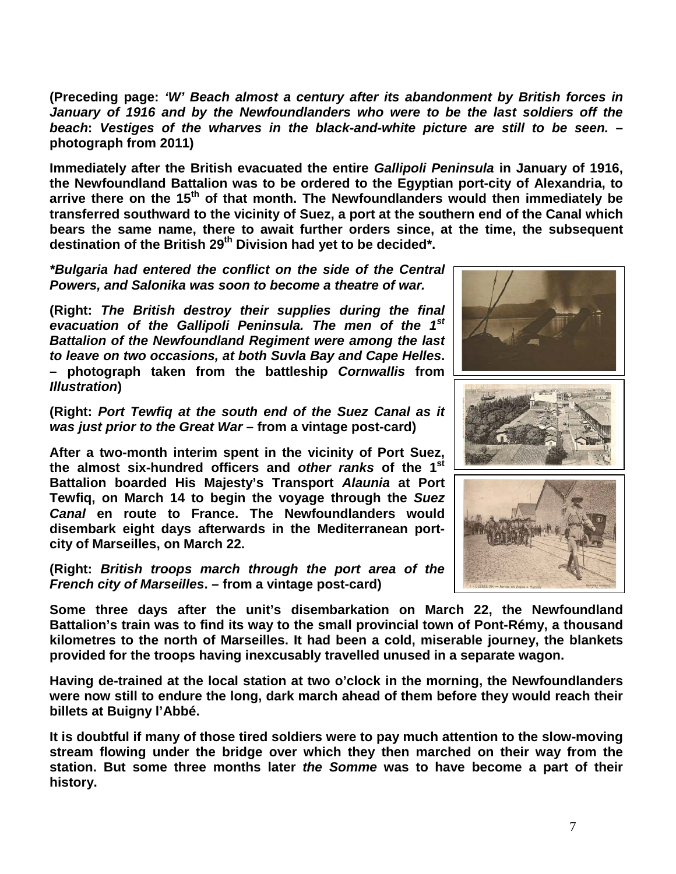**(Preceding page:** *'W' Beach almost a century after its abandonment by British forces in January of 1916 and by the Newfoundlanders who were to be the last soldiers off the beach***:** *Vestiges of the wharves in the black-and-white picture are still to be seen.* **– photograph from 2011)**

**Immediately after the British evacuated the entire** *Gallipoli Peninsula* **in January of 1916, the Newfoundland Battalion was to be ordered to the Egyptian port-city of Alexandria, to arrive there on the 15th of that month. The Newfoundlanders would then immediately be transferred southward to the vicinity of Suez, a port at the southern end of the Canal which bears the same name, there to await further orders since, at the time, the subsequent destination of the British 29th Division had yet to be decided\*.**

*\*Bulgaria had entered the conflict on the side of the Central Powers, and Salonika was soon to become a theatre of war.*

**(Right:** *The British destroy their supplies during the final evacuation of the Gallipoli Peninsula. The men of the 1st Battalion of the Newfoundland Regiment were among the last to leave on two occasions, at both Suvla Bay and Cape Helles***. – photograph taken from the battleship** *Cornwallis* **from**  *Illustration***)**

**(Right:** *Port Tewfiq at the south end of the Suez Canal as it was just prior to the Great War* **– from a vintage post-card)**

**After a two-month interim spent in the vicinity of Port Suez, the almost six-hundred officers and** *other ranks* **of the 1st Battalion boarded His Majesty's Transport** *Alaunia* **at Port Tewfiq, on March 14 to begin the voyage through the** *Suez Canal* **en route to France. The Newfoundlanders would disembark eight days afterwards in the Mediterranean portcity of Marseilles, on March 22.**

**(Right:** *British troops march through the port area of the French city of Marseilles***. – from a vintage post-card)**







**Some three days after the unit's disembarkation on March 22, the Newfoundland Battalion's train was to find its way to the small provincial town of Pont-Rémy, a thousand kilometres to the north of Marseilles. It had been a cold, miserable journey, the blankets provided for the troops having inexcusably travelled unused in a separate wagon.**

**Having de-trained at the local station at two o'clock in the morning, the Newfoundlanders were now still to endure the long, dark march ahead of them before they would reach their billets at Buigny l'Abbé.**

**It is doubtful if many of those tired soldiers were to pay much attention to the slow-moving stream flowing under the bridge over which they then marched on their way from the station. But some three months later** *the Somme* **was to have become a part of their history.**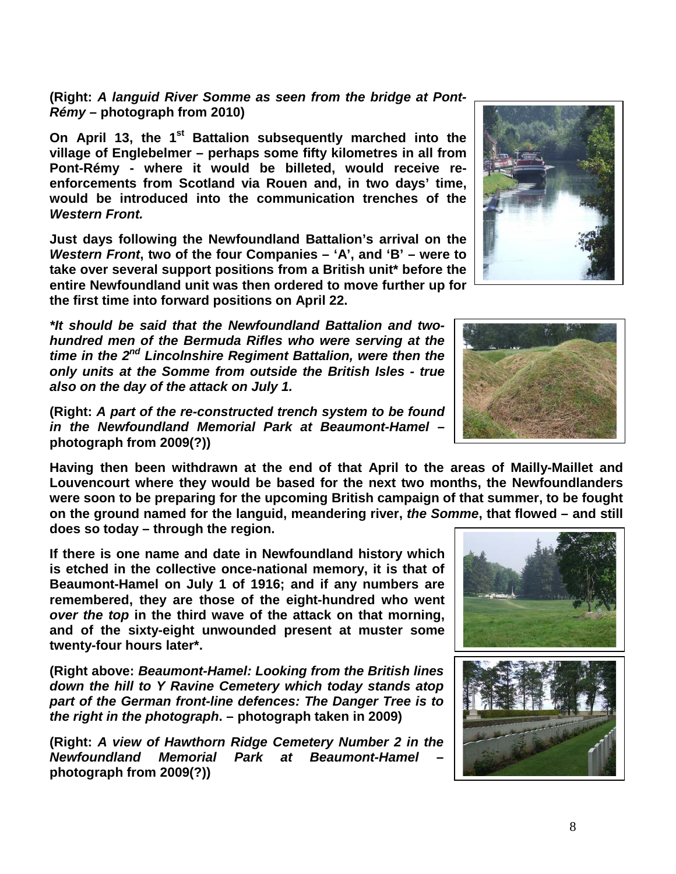**(Right:** *A languid River Somme as seen from the bridge at Pont-Rémy* **– photograph from 2010)**

**On April 13, the 1<sup>st</sup> Battalion subsequently marched into the village of Englebelmer – perhaps some fifty kilometres in all from Pont-Rémy - where it would be billeted, would receive reenforcements from Scotland via Rouen and, in two days' time, would be introduced into the communication trenches of the**  *Western Front.*

**Just days following the Newfoundland Battalion's arrival on the**  *Western Front***, two of the four Companies – 'A', and 'B' – were to take over several support positions from a British unit\* before the entire Newfoundland unit was then ordered to move further up for the first time into forward positions on April 22.**

*\*It should be said that the Newfoundland Battalion and twohundred men of the Bermuda Rifles who were serving at the time in the 2nd Lincolnshire Regiment Battalion, were then the only units at the Somme from outside the British Isles - true also on the day of the attack on July 1.*

**(Right:** *A part of the re-constructed trench system to be found in the Newfoundland Memorial Park at Beaumont-Hamel* **– photograph from 2009(?))**

**Having then been withdrawn at the end of that April to the areas of Mailly-Maillet and Louvencourt where they would be based for the next two months, the Newfoundlanders were soon to be preparing for the upcoming British campaign of that summer, to be fought on the ground named for the languid, meandering river,** *the Somme***, that flowed – and still does so today – through the region.** 

**If there is one name and date in Newfoundland history which is etched in the collective once-national memory, it is that of Beaumont-Hamel on July 1 of 1916; and if any numbers are remembered, they are those of the eight-hundred who went**  *over the top* **in the third wave of the attack on that morning, and of the sixty-eight unwounded present at muster some twenty-four hours later\*.**

**(Right above:** *Beaumont-Hamel: Looking from the British lines down the hill to Y Ravine Cemetery which today stands atop part of the German front-line defences: The Danger Tree is to the right in the photograph***. – photograph taken in 2009)**

**(Right:** *A view of Hawthorn Ridge Cemetery Number 2 in the Newfoundland Memorial Park at Beaumont-Hamel* **– photograph from 2009(?))**







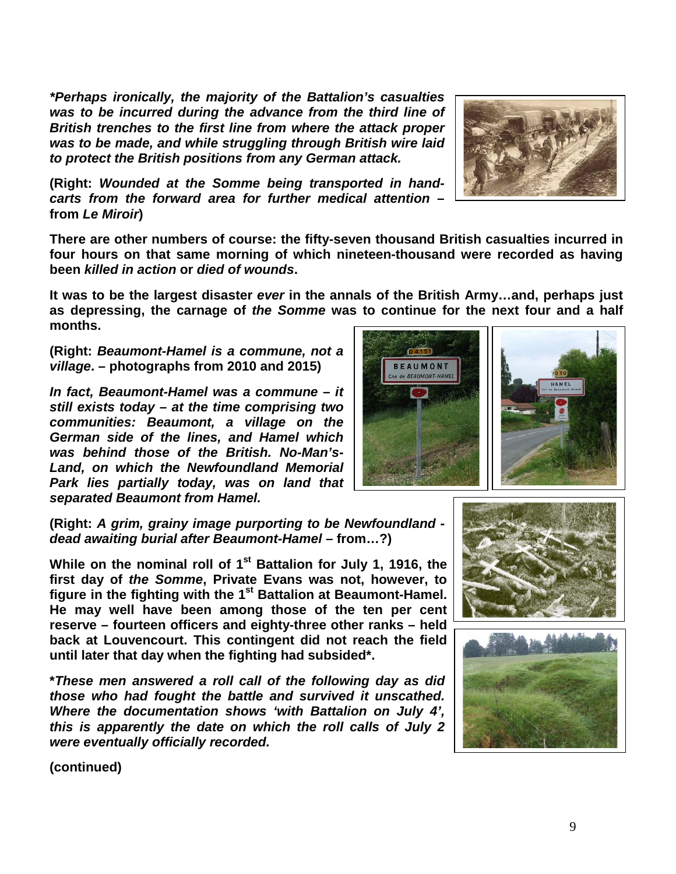*\*Perhaps ironically, the majority of the Battalion's casualties was to be incurred during the advance from the third line of British trenches to the first line from where the attack proper was to be made, and while struggling through British wire laid to protect the British positions from any German attack.*

**(Right:** *Wounded at the Somme being transported in handcarts from the forward area for further medical attention* **– from** *Le Miroir***)**

**There are other numbers of course: the fifty-seven thousand British casualties incurred in four hours on that same morning of which nineteen-thousand were recorded as having been** *killed in action* **or** *died of wounds***.** 

**It was to be the largest disaster** *ever* **in the annals of the British Army…and, perhaps just as depressing, the carnage of** *the Somme* **was to continue for the next four and a half months.**

**(Right:** *Beaumont-Hamel is a commune, not a village***. – photographs from 2010 and 2015)**

*In fact, Beaumont-Hamel was a commune – it still exists today – at the time comprising two communities: Beaumont, a village on the German side of the lines, and Hamel which was behind those of the British. No-Man's-Land, on which the Newfoundland Memorial Park lies partially today, was on land that separated Beaumont from Hamel.* 

**(Right:** *A grim, grainy image purporting to be Newfoundland dead awaiting burial after Beaumont-Hamel –* **from…?)**

**While on the nominal roll of 1st Battalion for July 1, 1916, the first day of** *the Somme***, Private Evans was not, however, to figure in the fighting with the 1st Battalion at Beaumont-Hamel. He may well have been among those of the ten per cent reserve – fourteen officers and eighty-three other ranks – held back at Louvencourt. This contingent did not reach the field until later that day when the fighting had subsided\*.** 

**\****These men answered a roll call of the following day as did those who had fought the battle and survived it unscathed. Where the documentation shows 'with Battalion on July 4', this is apparently the date on which the roll calls of July 2 were eventually officially recorded.*







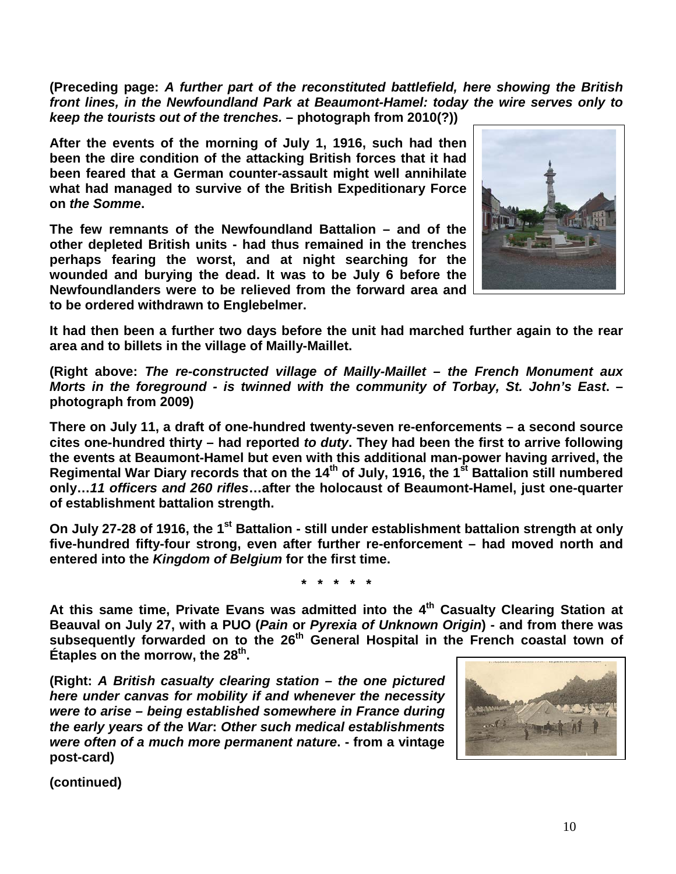**(Preceding page:** *A further part of the reconstituted battlefield, here showing the British front lines, in the Newfoundland Park at Beaumont-Hamel: today the wire serves only to keep the tourists out of the trenches.* **– photograph from 2010(?))**

**After the events of the morning of July 1, 1916, such had then been the dire condition of the attacking British forces that it had been feared that a German counter-assault might well annihilate what had managed to survive of the British Expeditionary Force on** *the Somme***.** 

**The few remnants of the Newfoundland Battalion – and of the other depleted British units - had thus remained in the trenches perhaps fearing the worst, and at night searching for the wounded and burying the dead. It was to be July 6 before the Newfoundlanders were to be relieved from the forward area and to be ordered withdrawn to Englebelmer.** 



**It had then been a further two days before the unit had marched further again to the rear area and to billets in the village of Mailly-Maillet.**

**(Right above:** *The re-constructed village of Mailly-Maillet – the French Monument aux Morts in the foreground - is twinned with the community of Torbay, St. John's East***. – photograph from 2009)**

**There on July 11, a draft of one-hundred twenty-seven re-enforcements – a second source cites one-hundred thirty – had reported** *to duty***. They had been the first to arrive following the events at Beaumont-Hamel but even with this additional man-power having arrived, the Regimental War Diary records that on the 14th of July, 1916, the 1st Battalion still numbered only…***11 officers and 260 rifles***…after the holocaust of Beaumont-Hamel, just one-quarter of establishment battalion strength.**

**On July 27-28 of 1916, the 1<sup>st</sup> Battalion - still under establishment battalion strength at only five-hundred fifty-four strong, even after further re-enforcement – had moved north and entered into the** *Kingdom of Belgium* **for the first time.**

**\* \* \* \* \***

At this same time, Private Evans was admitted into the 4<sup>th</sup> Casualty Clearing Station at **Beauval on July 27, with a PUO (***Pain* **or** *Pyrexia of Unknown Origin***) - and from there was subsequently forwarded on to the 26th General Hospital in the French coastal town of Étaples on the morrow, the 28th.**

**(Right:** *A British casualty clearing station – the one pictured here under canvas for mobility if and whenever the necessity were to arise – being established somewhere in France during the early years of the War***:** *Other such medical establishments were often of a much more permanent nature***. - from a vintage post-card)**

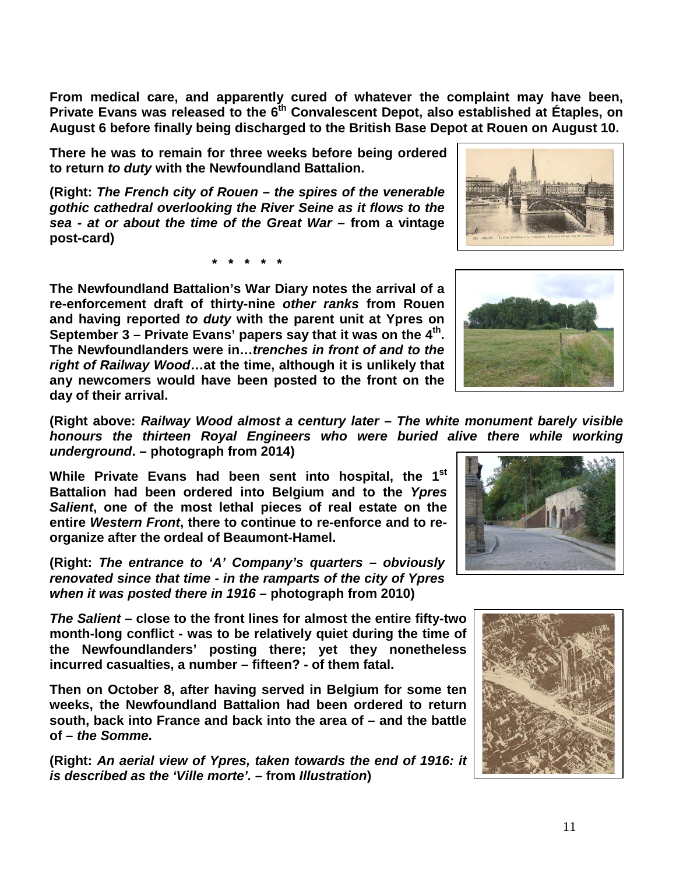**From medical care, and apparently cured of whatever the complaint may have been, Private Evans was released to the 6th Convalescent Depot, also established at Étaples, on August 6 before finally being discharged to the British Base Depot at Rouen on August 10.** 

**There he was to remain for three weeks before being ordered to return** *to duty* **with the Newfoundland Battalion.**

**(Right:** *The French city of Rouen – the spires of the venerable gothic cathedral overlooking the River Seine as it flows to the sea - at or about the time of the Great War* **– from a vintage post-card)**

**\* \* \* \* \***

**The Newfoundland Battalion's War Diary notes the arrival of a re-enforcement draft of thirty-nine** *other ranks* **from Rouen and having reported** *to duty* **with the parent unit at Ypres on**  September 3 – Private Evans' papers say that it was on the 4<sup>th</sup>. **The Newfoundlanders were in…***trenches in front of and to the right of Railway Wood***…at the time, although it is unlikely that any newcomers would have been posted to the front on the day of their arrival.**

**(Right above:** *Railway Wood almost a century later – The white monument barely visible honours the thirteen Royal Engineers who were buried alive there while working underground***. – photograph from 2014)**

**While Private Evans had been sent into hospital, the 1st Battalion had been ordered into Belgium and to the** *Ypres Salient***, one of the most lethal pieces of real estate on the entire** *Western Front***, there to continue to re-enforce and to reorganize after the ordeal of Beaumont-Hamel.** 

**(Right:** *The entrance to 'A' Company's quarters – obviously renovated since that time - in the ramparts of the city of Ypres when it was posted there in 1916 –* **photograph from 2010)**

*The Salient* **– close to the front lines for almost the entire fifty-two month-long conflict - was to be relatively quiet during the time of the Newfoundlanders' posting there; yet they nonetheless incurred casualties, a number – fifteen? - of them fatal.**

**Then on October 8, after having served in Belgium for some ten weeks, the Newfoundland Battalion had been ordered to return south, back into France and back into the area of – and the battle of –** *the Somme***.**

**(Right:** *An aerial view of Ypres, taken towards the end of 1916: it is described as the 'Ville morte'.* **– from** *Illustration***)**